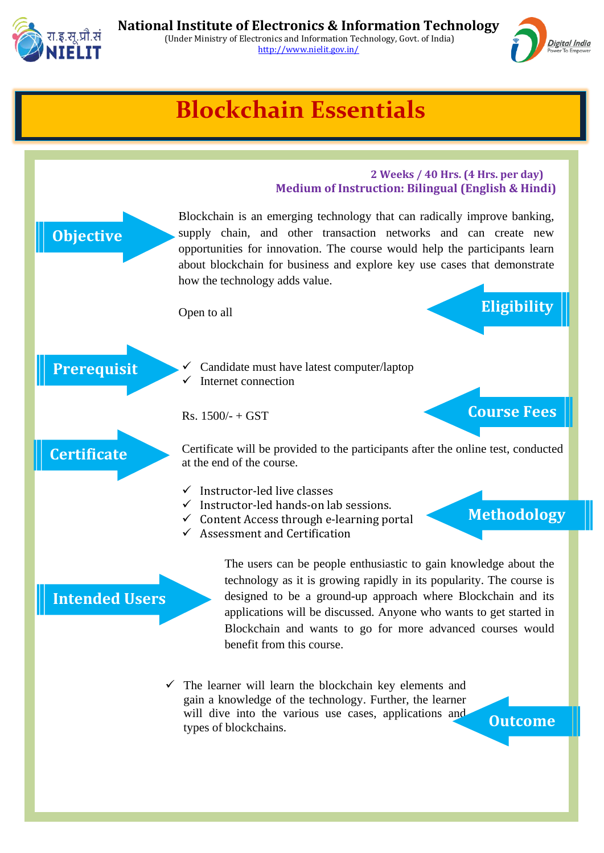



## **Blockchain Essentials**